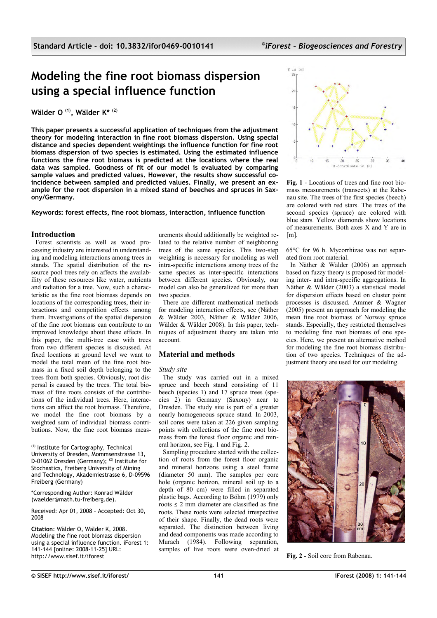# **Modeling the fine root biomass dispersion using a special influence function**

**Wälder O (1), Wälder K\* (2)**

**This paper presents a successful application of techniques from the adjustment theory for modeling interaction in fine root biomass dispersion. Using special distance and species dependent weightings the influence function for fine root biomass dispersion of two species is estimated. Using the estimated influence functions the fine root biomass is predicted at the locations where the real data was sampled. Goodness of fit of our model is evaluated by comparing sample values and predicted values. However, the results show successful coincidence between sampled and predicted values. Finally, we present an example for the root dispersion in a mixed stand of beeches and spruces in Saxony/Germany.**

**Keywords: forest effects, fine root biomass, interaction, influence function**

## **Introduction**

Forest scientists as well as wood processing industry are interested in understanding and modeling interactions among trees in stands. The spatial distribution of the resource pool trees rely on affects the availability of these resources like water, nutrients and radiation for a tree. Now, such a characteristic as the fine root biomass depends on locations of the corresponding trees, their interactions and competition effects among them. Investigations of the spatial dispersion of the fine root biomass can contribute to an improved knowledge about these effects. In this paper, the multi-tree case with trees from two different species is discussed. At fixed locations at ground level we want to model the total mean of the fine root biomass in a fixed soil depth belonging to the trees from both species. Obviously, root dispersal is caused by the trees. The total biomass of fine roots consists of the contributions of the individual trees. Here, interactions can affect the root biomass. Therefore, we model the fine root biomass by a weighted sum of individual biomass contributions. Now, the fine root biomass meas-

(1) Institute for Cartography, Technical University of Dresden, Mommsenstrasse 13, D-01062 Dresden (Germany); (2) Institute for Stochastics, Freiberg University of Mining and Technology, Akademiestrasse 6, D-09596 Freiberg (Germany)

\*Corresponding Author: Konrad Wälder (waelder@math.tu-freiberg.de).

Received: Apr 01, 2008 - Accepted: Oct 30, 2008

**Citation**: Wälder O, Wälder K, 2008. Modeling the fine root biomass dispersion using a special influence function. iForest 1: 141-144 [online: 2008-11-25] URL: http://www.sisef.it/iforest

urements should additionally be weighted related to the relative number of neighboring trees of the same species. This two-step weighting is necessary for modeling as well intra-specific interactions among trees of the same species as inter-specific interactions between different species. Obviously, our model can also be generalized for more than two species.

There are different mathematical methods for modeling interaction effects, see (Näther & Wälder 2003, Näther & Wälder 2006, Wälder & Wälder 2008). In this paper, techniques of adjustment theory are taken into account.

# **Material and methods**

### *Study site*

The study was carried out in a mixed spruce and beech stand consisting of 11 beech (species 1) and 17 spruce trees (species 2) in Germany (Saxony) near to Dresden. The study site is part of a greater nearly homogeneous spruce stand. In 2003, soil cores were taken at 226 given sampling points with collections of the fine root biomass from the forest floor organic and mineral horizon, see [Fig. 1](#page-0-0) and [Fig. 2.](#page-0-1)

<span id="page-0-1"></span>Sampling procedure started with the collection of roots from the forest floor organic and mineral horizons using a steel frame (diameter 50 mm). The samples per core hole (organic horizon, mineral soil up to a depth of 80 cm) were filled in separated plastic bags. According to Böhm (1979) only roots  $\leq$  2 mm diameter are classified as fine roots. These roots were selected irrespective of their shape. Finally, the dead roots were separated. The distinction between living and dead components was made according to Murach (1984). Following separation, samples of live roots were oven-dried at



<span id="page-0-0"></span>**Fig. 1** - Locations of trees and fine root biomass measurements (transects) at the Rabenau site. The trees of the first species (beech) are colored with red stars. The trees of the second species (spruce) are colored with blue stars. Yellow diamonds show locations of measurements. Both axes X and Y are in  $[ml]$ 

65°C for 96 h. Mycorrhizae was not separated from root material.

In Näther & Wälder (2006) an approach based on fuzzy theory is proposed for modeling inter- and intra-specific aggregations. In Näther & Wälder (2003) a statistical model for dispersion effects based on cluster point processes is discussed. Ammer & Wagner (2005) present an approach for modeling the mean fine root biomass of Norway spruce stands. Especially, they restricted themselves to modeling fine root biomass of one species. Here, we present an alternative method for modeling the fine root biomass distribution of two species. Techniques of the adjustment theory are used for our modeling.



**Fig. 2** - Soil core from Rabenau.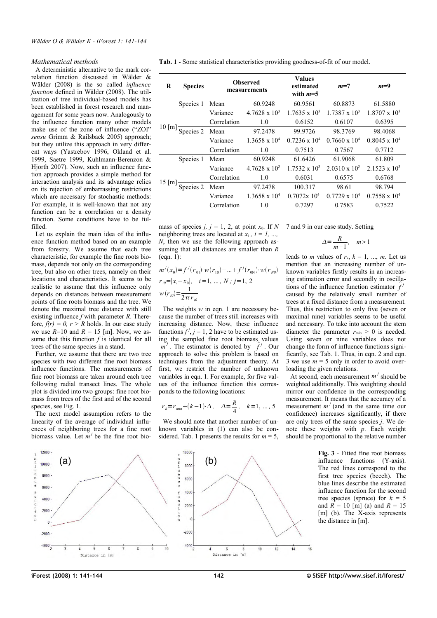#### *Mathematical methods*

A deterministic alternative to the mark correlation function discussed in Wälder & Wälder (2008) is the so called *influence function* defined in Wälder (2008). The utilization of tree individual-based models has been established in forest research and management for some years now. Analogously to the influence function many other models make use of the zone of influence ("ZOI" *sensu* Grimm & Railsback 2005) approach; but they utilize this approach in very different ways (Yastrebov 1996, Okland et al. 1999, Saetre 1999, Kuhlmann-Berenzon & Hjorth 2007). Now, such an influence function approach provides a simple method for interaction analysis and its advantage relies on its rejection of embarrassing restrictions which are necessary for stochastic methods: For example, it is well-known that not any function can be a correlation or a density function. Some conditions have to be fulfilled.

Let us explain the main idea of the influence function method based on an example from forestry. We assume that each tree characteristic, for example the fine roots biomass, depends not only on the corresponding tree, but also on other trees, namely on their locations and characteristics. It seems to be realistic to assume that this influence only depends on distances between measurement points of fine roots biomass and the tree. We denote the maximal tree distance with still existing influence *f* with parameter *R*. Therefore,  $f(r) = 0$ ,  $r > R$  holds. In our case study we use  $R=10$  and  $R=15$  [m]. Now, we assume that this function *f* is identical for all trees of the same species in a stand.

Further, we assume that there are two tree species with two different fine root biomass influence functions. The measurements of fine root biomass are taken around each tree following radial transect lines. The whole plot is divided into two groups: fine root biomass from trees of the first and of the second species, see [Fig. 1.](#page-0-0)

The next model assumption refers to the linearity of the average of individual influences of neighboring trees for a fine root biomass value. Let  $\overline{m}$ <sup>*j*</sup> be the fine root bio<span id="page-1-0"></span>**Tab. 1** - Some statistical characteristics providing goodness-of-fit of our model.

| R                   | <b>Species</b> | <b>Observed</b><br>measurements |                        | <b>Values</b><br>estimated<br>with $m=5$ | $m=7$                  | $m=9$                |
|---------------------|----------------|---------------------------------|------------------------|------------------------------------------|------------------------|----------------------|
| $10 \,[\mathrm{m}]$ | Species 1      | Mean                            | 60.9248                | 60.9561                                  | 60.8873                | 61.5880              |
|                     |                | Variance                        | $4.7628 \times 10^{3}$ | $1.7635 \times 10^3$                     | $1.7387 \times 10^3$   | $1.8707 \times 10^3$ |
|                     |                | Correlation                     | 1.0                    | 0.6152                                   | 0.6107                 | 0.6395               |
|                     | Species 2      | Mean                            | 97.2478                | 99.9726                                  | 98.3769                | 98.4068              |
|                     |                | Variance                        | $1.3658 \times 10^{4}$ | $0.7236 \times 10^{4}$                   | $0.7660 \times 10^{4}$ | $0.8045 \times 10^4$ |
|                     |                | Correlation                     | 1.0                    | 0.7513                                   | 0.7567                 | 0.7712               |
| $15 \,[\mathrm{m}]$ | Species 1      | Mean                            | 60.9248                | 61.6426                                  | 61.9068                | 61.809               |
|                     |                | Variance                        | $4.7628 \times 10^{3}$ | $1.7532 \times 10^3$                     | $2.0310 \times 10^{3}$ | $2.1523 \times 10^3$ |
|                     |                | Correlation                     | 1.0                    | 0.6031                                   | 0.6575                 | 0.6768               |
|                     | Species 2      | Mean                            | 97.2478                | 100.317                                  | 98.61                  | 98.794               |
|                     |                | Variance                        | $1.3658 \times 10^{4}$ | $0.7072x$ 10 <sup>4</sup>                | $0.7729 \times 10^4$   | $0.7558 \times 10^4$ |
|                     |                | Correlation                     | 1.0                    | 0.7297                                   | 0.7583                 | 0.7522               |

mass of species *j*,  $j = 1, 2$ , at point  $x_0$ . If  $N$  7 and 9 in our case study. Setting neighboring trees are located at  $x_i$ ,  $i = 1, \ldots$ *N*, then we use the following approach assuming that all distances are smaller than *R*  $(ean 1):$ 

$$
m^{j}(x_{0}) = f^{j}(r_{01}) \cdot w(r_{10}) + ... + f^{j}(r_{0N}) \cdot w(r_{N0})
$$
  
\n
$$
r_{i0} = |x_{i} - x_{0}|, \quad i = 1, ..., N; j = 1, 2
$$
  
\n
$$
w(r_{i0}) = \frac{1}{2\pi r_{i0}}
$$

The weights *w* in eqn. 1 are necessary because the number of trees still increases with increasing distance. Now, these influence functions  $f^j$ ,  $j = 1$ , 2 have to be estimated using the sampled fine root biomass values  $m^j$ . The estimator is denoted by  $\hat{f}^j$ . Our approach to solve this problem is based on techniques from the adjustment theory. At first, we restrict the number of unknown variables in eqn. 1. For example, for five values of the influence function this corresponds to the following locations:

$$
r_k = r_{min} + (k-1) \cdot \Delta
$$
,  $\Delta = \frac{R}{4}$ ,  $k = 1, ..., 5$ 

We should note that another number of unknown variables in (1) can also be con-sidered. [Tab. 1](#page-1-0) presents the results for  $m = 5$ ,

$$
\Delta = \frac{R}{m-1}, \quad m > 1
$$

leads to *m* values of  $r_k$ ,  $k = 1, ..., m$ . Let us mention that an increasing number of unknown variables firstly results in an increasing estimation error and secondly in oscillations of the influence function estimator  $\hat{f}^j$ caused by the relatively small number of trees at a fixed distance from a measurement. Thus, this restriction to only five (seven or maximal nine) variables seems to be useful and necessary. To take into account the stem diameter the parameter  $r_{\text{min}} > 0$  is needed. Using seven or nine variables does not change the form of influence functions significantly, see [Tab. 1.](#page-1-0) Thus, in eqn. 2 and eqn. 3 we use  $m = 5$  only in order to avoid overloading the given relations.

At second, each measurement  $m^j$  should be weighted additionally. This weighting should mirror our confidence in the corresponding measurement. It means that the accuracy of a measurement  $m^{j}$  (and in the same time our confidence) increases significantly, if there are only trees of the same species *j*. We denote these weights with *p*. Each weight should be proportional to the relative number

> <span id="page-1-1"></span>**Fig. 3** - Fitted fine root biomass influence functions (Y-axis). The red lines correspond to the first tree species (beech). The blue lines describe the estimated influence function for the second tree species (spruce) for  $k = 5$ and  $\overrightarrow{R}$  = 10 [m] (a) and  $\overrightarrow{R}$  = 15 [m] (b). The X-axis represents the distance in [m].

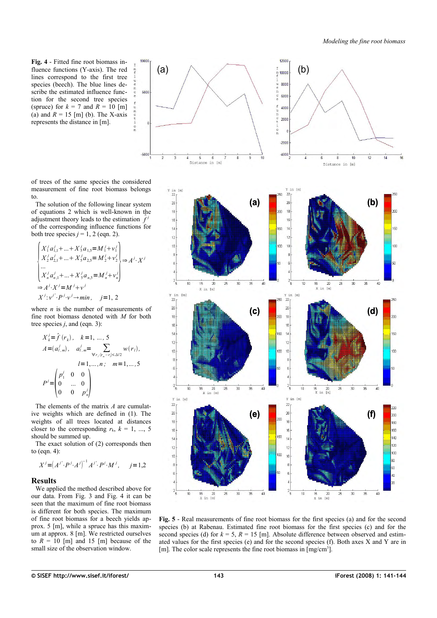<span id="page-2-0"></span>**Fig. 4** - Fitted fine root biomass influence functions (Y-axis). The red lines correspond to the first tree species (beech). The blue lines describe the estimated influence function for the second tree species (spruce) for  $k = 7$  and  $R = 10$  [m] (a) and  $R = 15$  [m] (b). The X-axis represents the distance in [m].

10000

 $5000$ 

 $-500$ 

of trees of the same species the considered measurement of fine root biomass belongs to.

The solution of the following linear system of equations 2 which is well-known in the adjustment theory leads to the estimation  $\hat{f}^j$ of the corresponding influence functions for both tree species  $j = 1, 2$  (eqn. 2).

$$
\begin{cases}\nX_1^j a_{1,1}^j + \dots + X_5^j a_{1,5} = M_1^j + v_1^j \\
X_2^j a_{2,1}^j + \dots + X_5^j a_{2,5} = M_2^j + v_2^j \\
\vdots \\
X_n^j a_{n,1}^j + \dots + X_5^j a_{n,5} = M_n^j + v_n^j\n\end{cases} \Rightarrow A^j \cdot X^j = M^j + v^j
$$
\n
$$
X^j : v^{j'} \cdot P^j \cdot v^j \rightarrow \min, \quad j = 1, 2
$$

where *n* is the number of measurements of fine root biomass denoted with *M* for both tree species *j*, and (eqn. 3):

$$
X'_{k} = \hat{f}(r_{k}), \quad k = 1, ..., 5
$$
  
\n
$$
A = (a'_{l,m}), \quad a'_{l,m} = \sum_{\forall r_{i}: |r_{m} - r_{i}| \leq \Delta/2} w(r_{l}),
$$
  
\n
$$
l = 1, ..., n; \quad m = 1, ..., 5
$$
  
\n
$$
P' = \begin{pmatrix} p'_{1} & 0 & 0 \\ 0 & ... & 0 \\ 0 & 0 & p'_{n} \end{pmatrix}
$$

The elements of the matrix *A* are cumulative weights which are defined in (1). The weights of all trees located at distances closer to the corresponding  $r_k$ ,  $k = 1, ..., 5$ should be summed up.

The exact solution of (2) corresponds then to (eqn. 4):

$$
X^{j} = (A^{j'} \cdot P^{j} \cdot A^{j})^{-1} A^{j'} \cdot P^{j} \cdot M^{j}, \quad j = 1, 2
$$

#### **Results**

We applied the method described above for our data. From [Fig. 3](#page-1-1) and [Fig. 4](#page-2-0) it can be seen that the maximum of fine root biomass is different for both species. The maximum of fine root biomass for a beech yields approx. 5 [m], while a spruce has this maximum at approx. 8 [m]. We restricted ourselves to  $R = 10$  [m] and 15 [m] because of the small size of the observation window.



12000

<span id="page-2-1"></span>Fig. 5 - Real measurements of fine root biomass for the first species (a) and for the second species (b) at Rabenau. Estimated fine root biomass for the first species (c) and for the second species (d) for  $k = 5$ ,  $R = 15$  [m]. Absolute difference between observed and estimated values for the first species (e) and for the second species (f). Both axes X and Y are in [m]. The color scale represents the fine root biomass in [mg/cm<sup>3</sup>].

 $\overline{40}$ 

 $\frac{15}{x}$  20<br> $\frac{20}{x}$  in [m]

 $10$ 

 $\begin{array}{cc} 15 & 20 \\ \text{X in [m]} \end{array}$ 

 $\overline{z}$  $3($  $\overline{\mathcal{X}}$   $\frac{1}{40}$ 

X

 $\overline{30}$ 

 $\overline{25}$